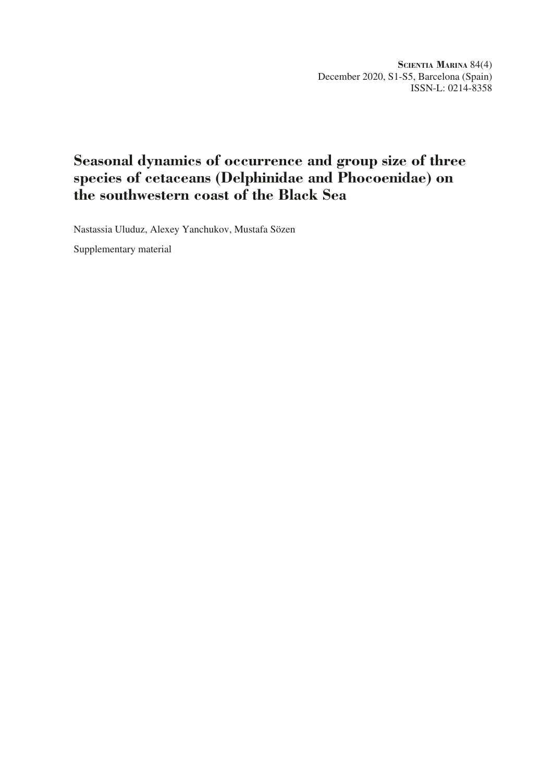**Scientia Marina** 84(4) December 2020, S1-S5, Barcelona (Spain) ISSN-L: 0214-8358

# **Seasonal dynamics of occurrence and group size of three species of cetaceans (Delphinidae and Phocoenidae) on the southwestern coast of the Black Sea**

Nastassia Uluduz, Alexey Yanchukov, Mustafa Sözen

Supplementary material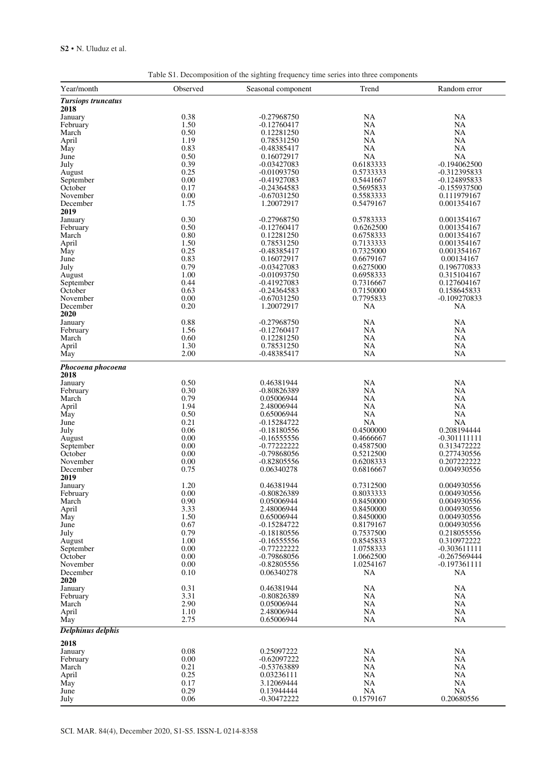| Year/month                | Observed     | Seasonal component             | x<br>Trend             | Random error                |
|---------------------------|--------------|--------------------------------|------------------------|-----------------------------|
| <b>Tursiops truncatus</b> |              |                                |                        |                             |
| 2018                      |              |                                |                        |                             |
| January                   | 0.38         | $-0.27968750$                  | <b>NA</b>              | NA                          |
| February                  | 1.50         | $-0.12760417$                  | NA                     | <b>NA</b>                   |
| March                     | 0.50         | 0.12281250                     | <b>NA</b>              | <b>NA</b>                   |
| April<br>May              | 1.19<br>0.83 | 0.78531250<br>$-0.48385417$    | <b>NA</b><br><b>NA</b> | $_{\rm NA}$<br><b>NA</b>    |
| June                      | 0.50         | 0.16072917                     | <b>NA</b>              | <b>NA</b>                   |
| July                      | 0.39         | $-0.03427083$                  | 0.6183333              | $-0.194062500$              |
| August                    | 0.25         | $-0.01093750$                  | 0.5733333              | -0.312395833                |
| September                 | 0.00         | $-0.41927083$                  | 0.5441667              | $-0.124895833$              |
| October                   | 0.17         | -0.24364583                    | 0.5695833              | -0.155937500                |
| November<br>December      | 0.00<br>1.75 | $-0.67031250$<br>1.20072917    | 0.5583333<br>0.5479167 | 0.111979167<br>0.001354167  |
| 2019                      |              |                                |                        |                             |
| January                   | 0.30         | $-0.27968750$                  | 0.5783333              | 0.001354167                 |
| February                  | 0.50         | $-0.12760417$                  | 0.6262500              | 0.001354167                 |
| March                     | 0.80         | 0.12281250                     | 0.6758333              | 0.001354167                 |
| April                     | 1.50         | 0.78531250                     | 0.7133333              | 0.001354167                 |
| May                       | 0.25         | -0.48385417                    | 0.7325000              | 0.001354167                 |
| June<br>July              | 0.83<br>0.79 | 0.16072917<br>$-0.03427083$    | 0.6679167<br>0.6275000 | 0.00134167<br>0.196770833   |
| August                    | 1.00         | $-0.01093750$                  | 0.6958333              | 0.315104167                 |
| September                 | 0.44         | $-0.41927083$                  | 0.7316667              | 0.127604167                 |
| October                   | 0.63         | $-0.24364583$                  | 0.7150000              | 0.158645833                 |
| November                  | 0.00         | $-0.67031250$                  | 0.7795833              | $-0.109270833$              |
| December                  | 0.20         | 1.20072917                     | NA                     | NA                          |
| 2020                      | 0.88         |                                | <b>NA</b>              |                             |
| January<br>February       | 1.56         | $-0.27968750$<br>$-0.12760417$ | <b>NA</b>              | NA<br>NA                    |
| March                     | 0.60         | 0.12281250                     | <b>NA</b>              | NA                          |
| April                     | 1.30         | 0.78531250                     | <b>NA</b>              | NA                          |
| May                       | 2.00         | $-0.48385417$                  | <b>NA</b>              | <b>NA</b>                   |
| Phocoena phocoena<br>2018 |              |                                |                        |                             |
| January                   | 0.50         | 0.46381944                     | <b>NA</b>              | <b>NA</b>                   |
| February                  | 0.30         | -0.80826389                    | <b>NA</b>              | <b>NA</b>                   |
| March                     | 0.79         | 0.05006944                     | <b>NA</b>              | <b>NA</b>                   |
| April                     | 1.94         | 2.48006944                     | <b>NA</b>              | <b>NA</b>                   |
| May                       | 0.50         | 0.65006944                     | NA                     | <b>NA</b>                   |
| June<br>July              | 0.21<br>0.06 | -0.15284722<br>-0.18180556     | <b>NA</b><br>0.4500000 | <b>NA</b><br>0.208194444    |
| August                    | 0.00         | $-0.16555556$                  | 0.4666667              | $-0.301111111$              |
| September                 | 0.00         | -0.77222222                    | 0.4587500              | 0.313472222                 |
| October                   | 0.00         | $-0.79868056$                  | 0.5212500              | 0.277430556                 |
| November                  | 0.00         | $-0.82805556$                  | 0.6208333              | 0.207222222                 |
| December                  | 0.75         | 0.06340278                     | 0.6816667              | 0.004930556                 |
| 2019                      | 1.20         | 0.46381944                     |                        |                             |
| January<br>February       | 0.00         | $-0.80826389$                  | 0.7312500<br>0.8033333 | 0.004930556<br>0.004930556  |
| March                     | 0.90         | 0.05006944                     | 0.8450000              | 0.004930556                 |
| April                     | 3.33         | 2.48006944                     | 0.8450000              | 0.004930556                 |
| May                       | 1.50         | 0.65006944                     | 0.8450000              | 0.004930556                 |
| June                      | 0.67         | -0.15284722                    | 0.8179167              | 0.004930556                 |
| July                      | 0.79         | $-0.18180556$                  | 0.7537500              | 0.218055556                 |
| August<br>September       | 1.00<br>0.00 | $-0.16555556$<br>$-0.77222222$ | 0.8545833<br>1.0758333 | 0.310972222<br>-0.303611111 |
| October                   | 0.00         | $-0.79868056$                  | 1.0662500              | $-0.267569444$              |
| November                  | 0.00         | $-0.82805556$                  | 1.0254167              | $-0.197361111$              |
| December                  | 0.10         | 0.06340278                     | NA                     | NA                          |
| 2020                      |              |                                |                        |                             |
| January                   | 0.31         | 0.46381944                     | <b>NA</b>              | NA                          |
| February                  | 3.31<br>2.90 | -0.80826389<br>0.05006944      | NA<br><b>NA</b>        | $_{\rm NA}$<br><b>NA</b>    |
| March<br>April            | 1.10         | 2.48006944                     | <b>NA</b>              | <b>NA</b>                   |
| May                       | 2.75         | 0.65006944                     | <b>NA</b>              | NA                          |
| Delphinus delphis         |              |                                |                        |                             |
| 2018                      |              |                                |                        |                             |
| January                   | 0.08         | 0.25097222                     | <b>NA</b>              | <b>NA</b>                   |
| February                  | 0.00         | $-0.62097222$                  | NA                     | NA                          |
| March                     | 0.21<br>0.25 | -0.53763889                    | NA<br><b>NA</b>        | <b>NA</b><br><b>NA</b>      |
| April<br>May              | 0.17         | 0.03236111<br>3.12069444       | <b>NA</b>              | <b>NA</b>                   |
| June                      | 0.29         | 0.13944444                     | <b>NA</b>              | <b>NA</b>                   |
| July                      | 0.06         | $-0.30472222$                  | 0.1579167              | 0.20680556                  |

Table S1. Decomposition of the sighting frequency time series into three components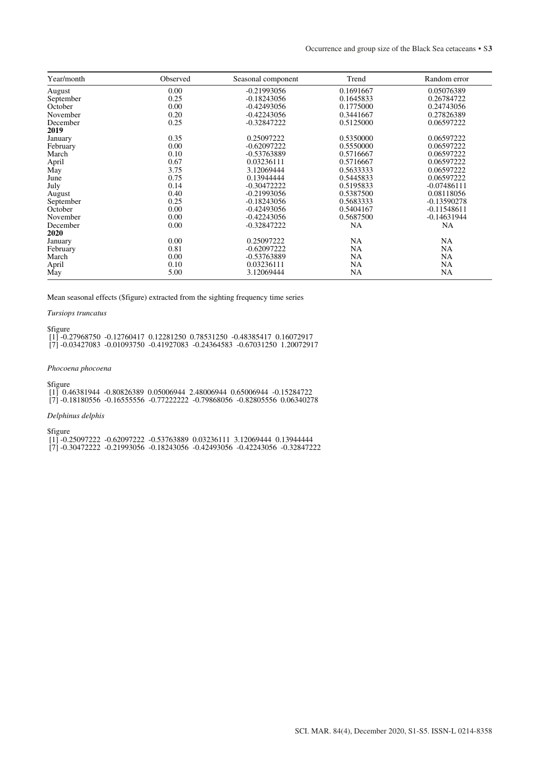| Year/month | Observed | Seasonal component | Trend     | Random error  |
|------------|----------|--------------------|-----------|---------------|
| August     | 0.00     | $-0.21993056$      | 0.1691667 | 0.05076389    |
| September  | 0.25     | $-0.18243056$      | 0.1645833 | 0.26784722    |
| October    | 0.00     | $-0.42493056$      | 0.1775000 | 0.24743056    |
| November   | 0.20     | $-0.42243056$      | 0.3441667 | 0.27826389    |
| December   | 0.25     | $-0.32847222$      | 0.5125000 | 0.06597222    |
| 2019       |          |                    |           |               |
| January    | 0.35     | 0.25097222         | 0.5350000 | 0.06597222    |
| February   | 0.00     | $-0.62097222$      | 0.5550000 | 0.06597222    |
| March      | 0.10     | $-0.53763889$      | 0.5716667 | 0.06597222    |
| April      | 0.67     | 0.03236111         | 0.5716667 | 0.06597222    |
| May        | 3.75     | 3.12069444         | 0.5633333 | 0.06597222    |
| June       | 0.75     | 0.13944444         | 0.5445833 | 0.06597222    |
| July       | 0.14     | $-0.30472222$      | 0.5195833 | $-0.07486111$ |
| August     | 0.40     | $-0.21993056$      | 0.5387500 | 0.08118056    |
| September  | 0.25     | $-0.18243056$      | 0.5683333 | $-0.13590278$ |
| October    | 0.00     | $-0.42493056$      | 0.5404167 | $-0.11548611$ |
| November   | 0.00     | $-0.42243056$      | 0.5687500 | $-0.14631944$ |
| December   | 0.00     | $-0.32847222$      | <b>NA</b> | NA            |
| 2020       |          |                    |           |               |
| January    | 0.00     | 0.25097222         | <b>NA</b> | NA            |
| February   | 0.81     | $-0.62097222$      | <b>NA</b> | NA            |
| March      | 0.00     | $-0.53763889$      | <b>NA</b> | NA            |
| April      | 0.10     | 0.03236111         | <b>NA</b> | NA            |
| May        | 5.00     | 3.12069444         | NA        | NA            |

Mean seasonal effects (\$figure) extracted from the sighting frequency time series

## *Tursiops truncatus*

\$figure

 [1] -0.27968750 -0.12760417 0.12281250 0.78531250 -0.48385417 0.16072917 [7] -0.03427083 -0.01093750 -0.41927083 -0.24364583 -0.67031250 1.20072917

# *Phocoena phocoena*

\$figure

 [1] 0.46381944 -0.80826389 0.05006944 2.48006944 0.65006944 -0.15284722 [7] -0.18180556 -0.16555556 -0.77222222 -0.79868056 -0.82805556 0.06340278

# *Delphinus delphis*

\$figure

 [1] -0.25097222 -0.62097222 -0.53763889 0.03236111 3.12069444 0.13944444 [7] -0.30472222 -0.21993056 -0.18243056 -0.42493056 -0.42243056 -0.32847222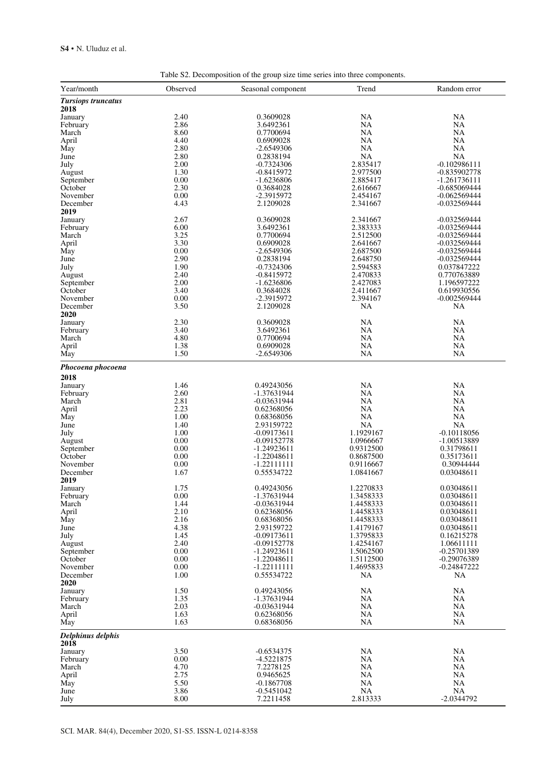| Year/month                | Observed     | Seasonal component          | Trend                  | Random error                     |
|---------------------------|--------------|-----------------------------|------------------------|----------------------------------|
| <b>Tursiops truncatus</b> |              |                             |                        |                                  |
| 2018                      |              |                             |                        |                                  |
| January                   | 2.40         | 0.3609028                   | NA                     | NA                               |
| February                  | 2.86         | 3.6492361                   | NA                     | NA                               |
| March                     | 8.60         | 0.7700694                   | NA                     | NA                               |
| April                     | 4.40         | 0.6909028                   | NA                     | NA                               |
| May                       | 2.80         | -2.6549306                  | NA                     | NA                               |
| June<br>July              | 2.80<br>2.00 | 0.2838194<br>-0.7324306     | <b>NA</b><br>2.835417  | <b>NA</b><br>$-0.102986111$      |
| August                    | 1.30         | $-0.8415972$                | 2.977500               | $-0.835902778$                   |
| September                 | 0.00         | $-1.6236806$                | 2.885417               | $-1.261736111$                   |
| October                   | 2.30         | 0.3684028                   | 2.616667               | $-0.685069444$                   |
| November                  | 0.00         | -2.3915972                  | 2.454167               | -0.062569444                     |
| December                  | 4.43         | 2.1209028                   | 2.341667               | -0.032569444                     |
| 2019                      |              |                             |                        |                                  |
| January<br>February       | 2.67<br>6.00 | 0.3609028<br>3.6492361      | 2.341667<br>2.383333   | $-0.032569444$<br>$-0.032569444$ |
| March                     | 3.25         | 0.7700694                   | 2.512500               | $-0.032569444$                   |
| April                     | 3.30         | 0.6909028                   | 2.641667               | $-0.032569444$                   |
| May                       | 0.00         | $-2.6549306$                | 2.687500               | -0.032569444                     |
| June                      | 2.90         | 0.2838194                   | 2.648750               | $-0.032569444$                   |
| July                      | 1.90         | -0.7324306                  | 2.594583               | 0.037847222                      |
| August                    | 2.40         | $-0.8415972$                | 2.470833               | 0.770763889                      |
| September<br>October      | 2.00<br>3.40 | -1.6236806                  | 2.427083<br>2.411667   | 1.196597222                      |
| November                  | 0.00         | 0.3684028<br>-2.3915972     | 2.394167               | 0.619930556<br>$-0.002569444$    |
| December                  | 3.50         | 2.1209028                   | NA                     | NA                               |
| 2020                      |              |                             |                        |                                  |
| January                   | 2.30         | 0.3609028                   | NA                     | NA                               |
| February                  | 3.40         | 3.6492361                   | NA                     | NA                               |
| March                     | 4.80         | 0.7700694                   | NA                     | NA                               |
| April                     | 1.38<br>1.50 | 0.6909028                   | <b>NA</b>              | NA                               |
| May                       |              | $-2.6549306$                | NA                     | NA                               |
| Phocoena phocoena         |              |                             |                        |                                  |
| 2018                      |              |                             |                        |                                  |
| January                   | 1.46         | 0.49243056                  | NA                     | NA                               |
| February                  | 2.60         | -1.37631944                 | <b>NA</b>              | NA                               |
| March                     | 2.81<br>2.23 | -0.03631944                 | NA<br>NA               | NA<br>NA                         |
| April<br>May              | 1.00         | 0.62368056<br>0.68368056    | <b>NA</b>              | NA                               |
| June                      | 1.40         | 2.93159722                  | <b>NA</b>              | NA                               |
| July                      | 1.00         | -0.09173611                 | 1.1929167              | $-0.10118056$                    |
| August                    | 0.00         | $-0.09152778$               | 1.0966667              | -1.00513889                      |
| September                 | 0.00         | $-1.24923611$               | 0.9312500              | 0.31798611                       |
| October                   | 0.00         | -1.22048611                 | 0.8687500              | 0.35173611                       |
| November<br>December      | 0.00<br>1.67 | $-1.22111111$<br>0.55534722 | 0.9116667<br>1.0841667 | 0.30944444<br>0.03048611         |
| 2019                      |              |                             |                        |                                  |
| January                   | 1.75         | 0.49243056                  | 1.2270833              | 0.03048611                       |
| February                  | 0.00         | -1.37631944                 | 1.3458333              | 0.03048611                       |
| March                     | 1.44         | $-0.03631944$               | 1.4458333              | 0.03048611                       |
| April                     | 2.10         | 0.62368056                  | 1.4458333              | 0.03048611                       |
| May<br>June               | 2.16<br>4.38 | 0.68368056<br>2.93159722    | 1.4458333<br>1.4179167 | 0.03048611<br>0.03048611         |
| July                      | 1.45         | $-0.09173611$               | 1.3795833              | 0.16215278                       |
| August                    | 2.40         | $-0.09152778$               | 1.4254167              | 1.06611111                       |
| September                 | 0.00         | $-1.24923611$               | 1.5062500              | $-0.25701389$                    |
| October                   | 0.00         | $-1.22048611$               | 1.5112500              | $-0.29076389$                    |
| November                  | 0.00         | $-1.22111111$               | 1.4695833              | $-0.24847222$                    |
| December<br>2020          | 1.00         | 0.55534722                  | NA                     | NA                               |
| January                   | 1.50         | 0.49243056                  | NA                     | NA                               |
| February                  | 1.35         | -1.37631944                 | NA                     | NA                               |
| March                     | 2.03         | $-0.03631944$               | NA                     | NA                               |
| April                     | 1.63         | 0.62368056                  | NA                     | <b>NA</b>                        |
| May                       | 1.63         | 0.68368056                  | NA                     | NA                               |
| Delphinus delphis         |              |                             |                        |                                  |
| 2018                      |              |                             |                        |                                  |
| January                   | 3.50         | $-0.6534375$                | NA                     | NA                               |
| February<br>March         | 0.00<br>4.70 | $-4.5221875$<br>7.2278125   | NA<br>NA               | NA<br>NA                         |
| April                     | 2.75         | 0.9465625                   | NA                     | NA                               |
| May                       | 5.50         | $-0.1867708$                | NA                     | <b>NA</b>                        |
| June                      | 3.86         | $-0.5451042$                | NA                     | <b>NA</b>                        |
| July                      | 8.00         | 7.2211458                   | 2.813333               | $-2.0344792$                     |

Table S2. Decomposition of the group size time series into three components.